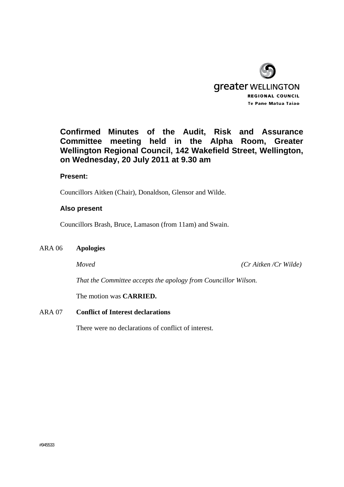

# **Confirmed Minutes of the Audit, Risk and Assurance Committee meeting held in the Alpha Room, Greater Wellington Regional Council, 142 Wakefield Street, Wellington, on Wednesday, 20 July 2011 at 9.30 am**

### **Present:**

Councillors Aitken (Chair), Donaldson, Glensor and Wilde.

#### **Also present**

Councillors Brash, Bruce, Lamason (from 11am) and Swain.

#### ARA 06 **Apologies**

*Moved (Cr Aitken /Cr Wilde)* 

*That the Committee accepts the apology from Councillor Wilson.* 

The motion was **CARRIED.** 

#### ARA 07 **Conflict of Interest declarations**

There were no declarations of conflict of interest.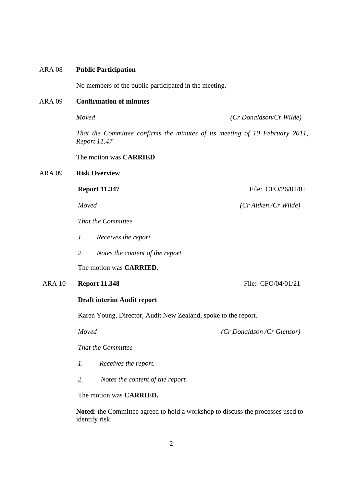#### ARA 08 **Public Participation**

No members of the public participated in the meeting.

#### ARA 09 **Confirmation of minutes**

*Moved (Cr Donaldson/Cr Wilde)* 

*That the Committee confirms the minutes of its meeting of 10 February 2011, Report 11.47* 

The motion was **CARRIED**

#### ARA 09 **Risk Overview**

*That the Committee* 

- *1. Receives the report.*
- *2. Notes the content of the report.*

The motion was **CARRIED.**

### ARA 10 **Report 11.348** File: CFO/04/01/21

#### **Draft interim Audit report**

Karen Young, Director, Audit New Zealand, spoke to the report.

*Moved (Cr Donaldson /Cr Glensor)* 

*That the Committee* 

- *1. Receives the report.*
- *2. Notes the content of the report.*

The motion was **CARRIED.**

**Noted**: the Committee agreed to hold a workshop to discuss the processes used to identify risk.

**Report 11.347 File: CFO/26/01/01** 

*Moved (Cr Aitken /Cr Wilde)*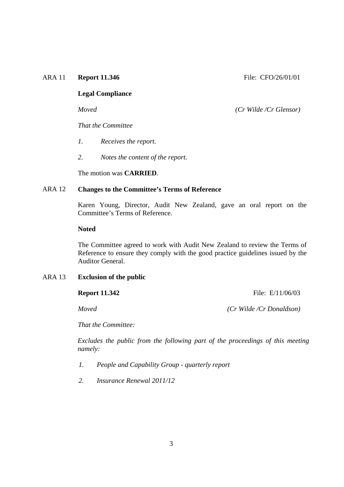#### ARA 11 **Report 11.346** File: CFO/26/01/01

#### **Legal Compliance**

*Moved (Cr Wilde /Cr Glensor)* 

*That the Committee* 

- *1. Receives the report.*
- *2. Notes the content of the report.*

The motion was **CARRIED**.

#### ARA 12 **Changes to the Committee's Terms of Reference**

 Karen Young, Director, Audit New Zealand, gave an oral report on the Committee's Terms of Reference.

#### **Noted**

 The Committee agreed to work with Audit New Zealand to review the Terms of Reference to ensure they comply with the good practice guidelines issued by the Auditor General.

#### ARA 13 **Exclusion of the public**

**Report 11.342** File: E/11/06/03

*Moved (Cr Wilde /Cr Donaldson)* 

*That the Committee:* 

 *Excludes the public from the following part of the proceedings of this meeting namely:* 

- *1. People and Capability Group quarterly report*
- *2. Insurance Renewal 2011/12*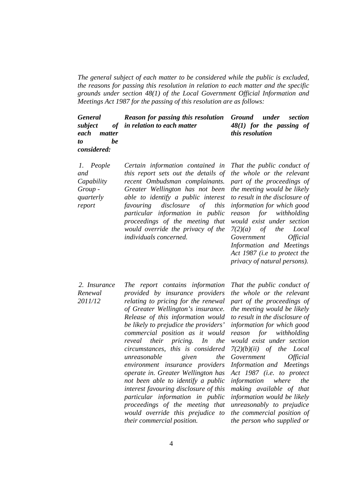*The general subject of each matter to be considered while the public is excluded, the reasons for passing this resolution in relation to each matter and the specific grounds under section 48(1) of the Local Government Official Information and Meetings Act 1987 for the passing of this resolution are as follows:* 

 *General*   $subject$ *each matter to be considered: Reason for passing this resolution in relation to each matter Ground under section 48(1) for the passing of this resolution* 

 *1. People and Capability Group quarterly report* 

*Certain information contained in this report sets out the details of recent Ombudsman complainants. Greater Wellington has not been able to identify a public interest favouring disclosure of this particular information in public proceedings of the meeting that would override the privacy of the individuals concerned.* 

*That the public conduct of the whole or the relevant part of the proceedings of the meeting would be likely to result in the disclosure of information for which good reason for withholding would exist under section 7(2)(a) of the Local Government Official Information and Meetings Act 1987 (i.e to protect the privacy of natural persons).* 

 *2. Insurance Renewal 2011/12 The report contains information provided by insurance providers relating to pricing for the renewal of Greater Wellington's insurance. Release of this information would be likely to prejudice the providers' commercial position as it would reveal their pricing. In the circumstances, this is considered unreasonable given the environment insurance providers operate in. Greater Wellington has not been able to identify a public interest favouring disclosure of this particular information in public proceedings of the meeting that would override this prejudice to their commercial position.*

*That the public conduct of the whole or the relevant part of the proceedings of the meeting would be likely to result in the disclosure of information for which good reason for withholding would exist under section 7(2)(b)(ii) of the Local Government Official Information and Meetings Act 1987 (i.e. to protect information where the making available of that information would be likely unreasonably to prejudice the commercial position of the person who supplied or*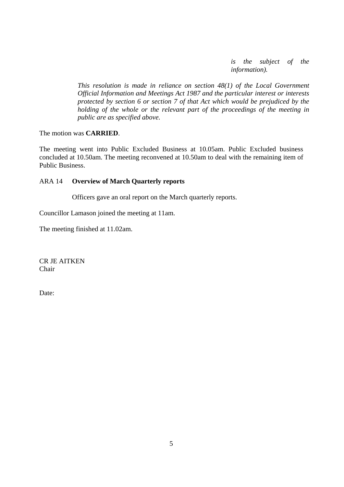*is the subject of the information).*

 *This resolution is made in reliance on section 48(1) of the Local Government Official Information and Meetings Act 1987 and the particular interest or interests protected by section 6 or section 7 of that Act which would be prejudiced by the holding of the whole or the relevant part of the proceedings of the meeting in public are as specified above.* 

The motion was **CARRIED**.

The meeting went into Public Excluded Business at 10.05am. Public Excluded business concluded at 10.50am. The meeting reconvened at 10.50am to deal with the remaining item of Public Business.

### ARA 14 **Overview of March Quarterly reports**

Officers gave an oral report on the March quarterly reports.

Councillor Lamason joined the meeting at 11am.

The meeting finished at 11.02am.

CR JE AITKEN Chair

Date: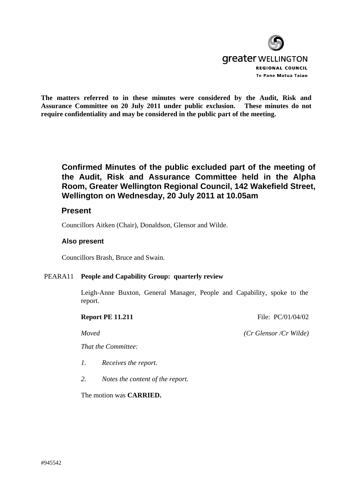

**The matters referred to in these minutes were considered by the Audit, Risk and Assurance Committee on 20 July 2011 under public exclusion. These minutes do not require confidentiality and may be considered in the public part of the meeting.** 

# **Confirmed Minutes of the public excluded part of the meeting of the Audit, Risk and Assurance Committee held in the Alpha Room, Greater Wellington Regional Council, 142 Wakefield Street, Wellington on Wednesday, 20 July 2011 at 10.05am**

## **Present**

Councillors Aitken (Chair), Donaldson, Glensor and Wilde.

### **Also present**

Councillors Brash, Bruce and Swain.

### PEARA11 **People and Capability Group: quarterly review**

 Leigh-Anne Buxton, General Manager, People and Capability, spoke to the report.

**Report PE 11.211** File: PC/01/04/02

*Moved (Cr Glensor /Cr Wilde)*

*That the Committee:* 

- *1. Receives the report.*
- *2. Notes the content of the report.*

The motion was **CARRIED.**